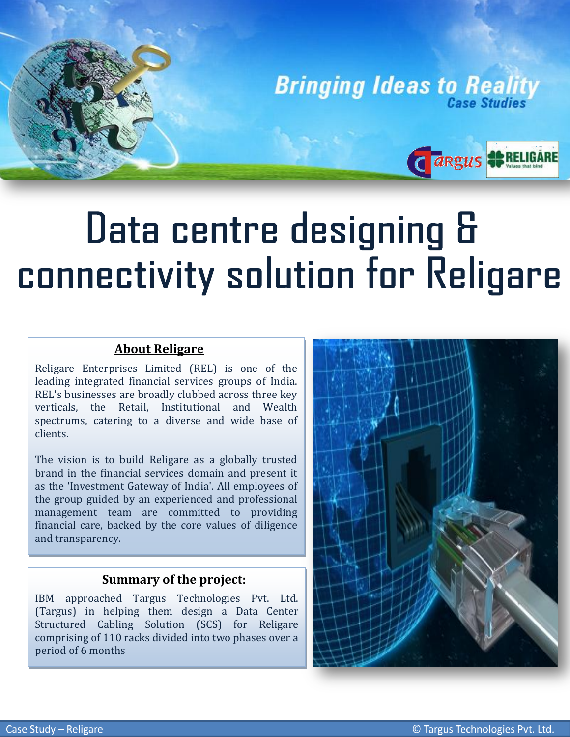**Bringing Ideas to Reality** 

Cargus #RELIGARE

# Data centre designing & connectivity solution for Religare

## **About Religare**

֦֖֘֝֬֕

Religare Enterprises Limited (REL) is one of the leading integrated financial services groups of India. REL's businesses are broadly clubbed across three key verticals, the Retail, Institutional and Wealth spectrums, catering to a diverse and wide base of clients.

The vision is to build Religare as a globally trusted brand in the financial services domain and present it as the 'Investment Gateway of India'. All employees of the group guided by an experienced and professional management team are committed to providing financial care, backed by the core values of diligence and transparency.

#### **Summary of the project:**

IBM approached Targus Technologies Pvt. Ltd. (Targus) in helping them design a Data Center Structured Cabling Solution (SCS) for Religare comprising of 110 racks divided into two phases over a period of 6 months

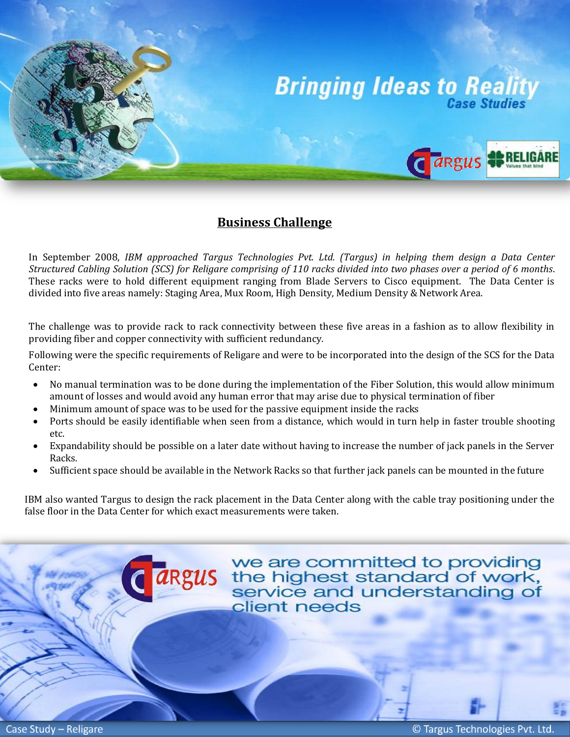

### **Business Challenge**

In September 2008, *IBM approached Targus Technologies Pvt. Ltd. (Targus) in helping them design a Data Center Structured Cabling Solution (SCS) for Religare comprising of 110 racks divided into two phases over a period of 6 months*. These racks were to hold different equipment ranging from Blade Servers to Cisco equipment. The Data Center is divided into five areas namely: Staging Area, Mux Room, High Density, Medium Density & Network Area.

 providing fiber and copper connectivity with sufficient redundancy. The challenge was to provide rack to rack connectivity between these five areas in a fashion as to allow flexibility in

Following were the specific requirements of Religare and were to be incorporated into the design of the SCS for the Data Center:

- No manual termination was to be done during the implementation of the Fiber Solution, this would allow minimum amount of losses and would avoid any human error that may arise due to physical termination of fiber
- Minimum amount of space was to be used for the passive equipment inside the racks
- Ports should be easily identifiable when seen from a distance, which would in turn help in faster trouble shooting etc.
- Expandability should be possible on a later date without having to increase the number of jack panels in the Server Racks.
- Sufficient space should be available in the Network Racks so that further jack panels can be mounted in the future

IBM also wanted Targus to design the rack placement in the Data Center along with the cable tray positioning under the false floor in the Data Center for which exact measurements were taken.

> we are committed to providing **argus** we are committed to providing<br>**argus** the highest standard of work,<br>service and understanding of client needs

i

l